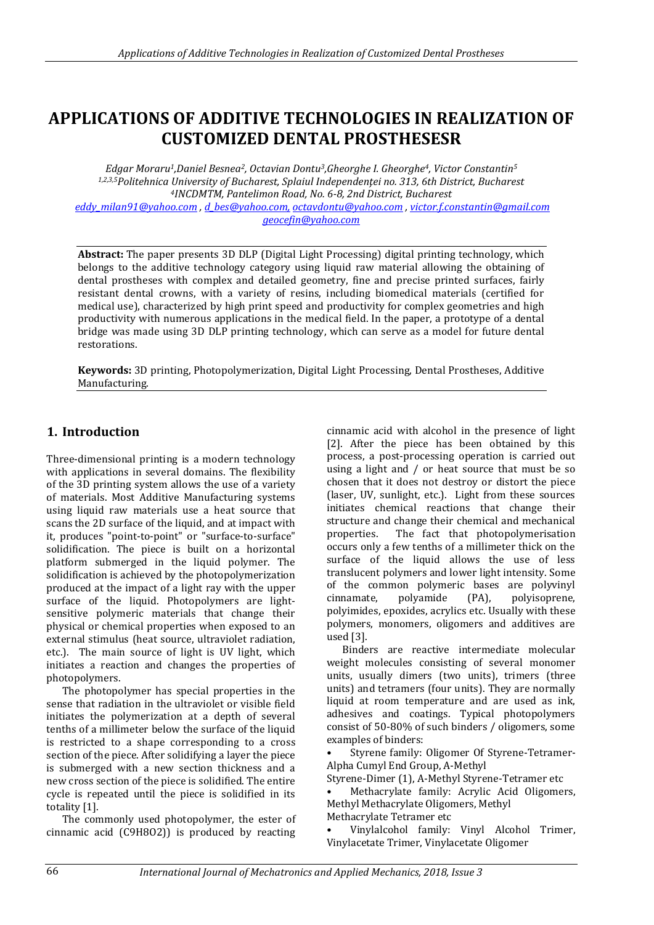# **APPLICATIONS OF ADDITIVE TECHNOLOGIES IN REALIZATION OF CUSTOMIZED DENTAL PROSTHESESR**

*Edgar Moraru1,Daniel Besnea2, Octavian Dontu3,Gheorghe I. Gheorghe4, Victor Constantin<sup>5</sup> 1,2,3,5Politehnica University of Bucharest, Splaiul Independenţei no. 313, 6th District, Bucharest <sup>4</sup>INCDMTM, Pantelimon Road, No. 6-8, 2nd District, Bucharest*

*[eddy\\_milan91@yahoo.com](mailto:eddy_milan91@yahoo.com) , [d\\_bes@yahoo.com,](mailto:d_bes@yahoo.com,) [octavdontu@yahoo.com](mailto:octavdontu@yahoo.com) [, victor.f.constantin@gmail.com](mailto:victor.f.constantin@gmail.com) [geocefin@yahoo.com](mailto:geocefin@yahoo.com)*

**Abstract:** The paper presents 3D DLP (Digital Light Processing) digital printing technology, which belongs to the additive technology category using liquid raw material allowing the obtaining of dental prostheses with complex and detailed geometry, fine and precise printed surfaces, fairly resistant dental crowns, with a variety of resins, including biomedical materials (certified for medical use), characterized by high print speed and productivity for complex geometries and high productivity with numerous applications in the medical field. In the paper, a prototype of a dental bridge was made using 3D DLP printing technology, which can serve as a model for future dental restorations.

**Keywords:** 3D printing, Photopolymerization, Digital Light Processing, Dental Prostheses, Additive Manufacturing.

## **1. Introduction**

Three-dimensional printing is a modern technology with applications in several domains. The flexibility of the 3D printing system allows the use of a variety of materials. Most Additive Manufacturing systems using liquid raw materials use a heat source that scans the 2D surface of the liquid, and at impact with it, produces "point-to-point" or "surface-to-surface" solidification. The piece is built on a horizontal platform submerged in the liquid polymer. The solidification is achieved by the photopolymerization produced at the impact of a light ray with the upper surface of the liquid. Photopolymers are lightsensitive polymeric materials that change their physical or chemical properties when exposed to an external stimulus (heat source, ultraviolet radiation, etc.). The main source of light is UV light, which initiates a reaction and changes the properties of photopolymers.

The photopolymer has special properties in the sense that radiation in the ultraviolet or visible field initiates the polymerization at a depth of several tenths of a millimeter below the surface of the liquid is restricted to a shape corresponding to a cross section of the piece. After solidifying a layer the piece is submerged with a new section thickness and a new cross section of the piece is solidified. The entire cycle is repeated until the piece is solidified in its totality [1].

The commonly used photopolymer, the ester of cinnamic acid (C9H8O2)) is produced by reacting

cinnamic acid with alcohol in the presence of light [2]. After the piece has been obtained by this process, a post-processing operation is carried out using a light and / or heat source that must be so chosen that it does not destroy or distort the piece (laser, UV, sunlight, etc.). Light from these sources initiates chemical reactions that change their structure and change their chemical and mechanical properties. The fact that photopolymerisation occurs only a few tenths of a millimeter thick on the surface of the liquid allows the use of less translucent polymers and lower light intensity. Some of the common polymeric bases are polyvinyl cinnamate, polyamide (PA), polyisoprene, polyimides, epoxides, acrylics etc. Usually with these polymers, monomers, oligomers and additives are used [3].

Binders are reactive intermediate molecular weight molecules consisting of several monomer units, usually dimers (two units), trimers (three units) and tetramers (four units). They are normally liquid at room temperature and are used as ink, adhesives and coatings. Typical photopolymers consist of 50-80% of such binders / oligomers, some examples of binders:

• Styrene family: Oligomer Of Styrene-Tetramer-Alpha Cumyl End Group, Α-Methyl

Styrene-Dimer (1), Α-Methyl Styrene-Tetramer etc

• Methacrylate family: Acrylic Acid Oligomers, Methyl Methacrylate Oligomers, Methyl

Methacrylate Tetramer etc

• Vinylalcohol family: Vinyl Alcohol Trimer, Vinylacetate Trimer, Vinylacetate Oligomer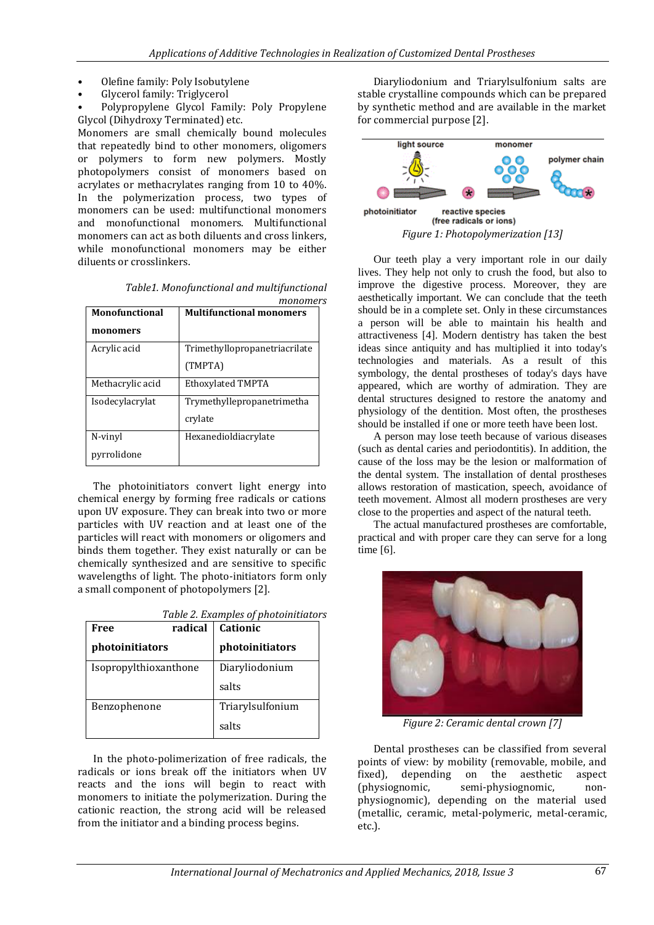- Olefine family: Poly Isobutylene
- Glycerol family: Triglycerol
- Polypropylene Glycol Family: Poly Propylene Glycol (Dihydroxy Terminated) etc.

Monomers are small chemically bound molecules that repeatedly bind to other monomers, oligomers or polymers to form new polymers. Mostly photopolymers consist of monomers based on acrylates or methacrylates ranging from 10 to 40%. In the polymerization process, two types of monomers can be used: multifunctional monomers and monofunctional monomers. Multifunctional monomers can act as both diluents and cross linkers, while monofunctional monomers may be either diluents or crosslinkers.

| ofunctional | <b>Multifunctional monomers</b>            |  |
|-------------|--------------------------------------------|--|
|             | monomers                                   |  |
|             | Table1. Monofunctional and multifunctional |  |

| <b>Monofunctional</b> | <b>Multifunctional monomers</b> |
|-----------------------|---------------------------------|
| monomers              |                                 |
| Acrylic acid          | Trimethyllopropanetriacrilate   |
|                       | (TMPTA)                         |
| Methacrylic acid      | Ethoxylated TMPTA               |
| Isodecylacrylat       | Trymethyllepropanetrimetha      |
|                       | crylate                         |
| N-vinyl               | Hexanedioldiacrylate            |
| pyrrolidone           |                                 |

The photoinitiators convert light energy into chemical energy by forming free radicals or cations upon UV exposure. They can break into two or more particles with UV reaction and at least one of the particles will react with monomers or oligomers and binds them together. They exist naturally or can be chemically synthesized and are sensitive to specific wavelengths of light. The photo-initiators form only a small component of photopolymers [2].

|  |  | Table 2. Examples of photoinitiators |  |
|--|--|--------------------------------------|--|
|  |  |                                      |  |

| Free                  | radical | Cationic         |
|-----------------------|---------|------------------|
| photoinitiators       |         | photoinitiators  |
| Isopropylthioxanthone |         | Diaryliodonium   |
|                       |         | salts            |
| Benzophenone          |         | Triarylsulfonium |
|                       |         | salts            |

In the photo-polimerization of free radicals, the radicals or ions break off the initiators when UV reacts and the ions will begin to react with monomers to initiate the polymerization. During the cationic reaction, the strong acid will be released from the initiator and a binding process begins.

Diaryliodonium and Triarylsulfonium salts are stable crystalline compounds which can be prepared by synthetic method and are available in the market for commercial purpose [2].



Our teeth play a very important role in our daily lives. They help not only to crush the food, but also to improve the digestive process. Moreover, they are aesthetically important. We can conclude that the teeth should be in a complete set. Only in these circumstances a person will be able to maintain his health and attractiveness [4]. Modern dentistry has taken the best ideas since antiquity and has multiplied it into today's technologies and materials. As a result of this symbology, the dental prostheses of today's days have appeared, which are worthy of admiration. They are dental structures designed to restore the anatomy and physiology of the dentition. Most often, the prostheses should be installed if one or more teeth have been lost.

A person may lose teeth because of various diseases (such as dental caries and periodontitis). In addition, the cause of the loss may be the lesion or malformation of the dental system. The installation of dental prostheses allows restoration of mastication, speech, avoidance of teeth movement. Almost all modern prostheses are very close to the properties and aspect of the natural teeth.

The actual manufactured prostheses are comfortable, practical and with proper care they can serve for a long time [6].



*Figure 2: Ceramic dental crown [7]*

Dental prostheses can be classified from several points of view: by mobility (removable, mobile, and fixed), depending on the aesthetic aspect (physiognomic, semi-physiognomic, nonphysiognomic), depending on the material used (metallic, ceramic, metal-polymeric, metal-ceramic, etc.).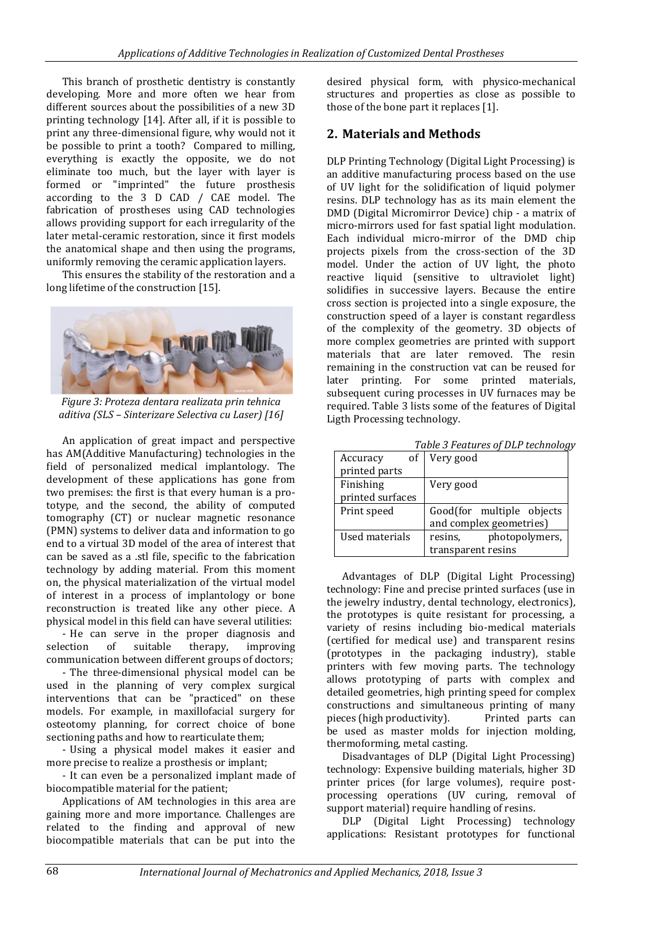This branch of prosthetic dentistry is constantly developing. More and more often we hear from different sources about the possibilities of a new 3D printing technology [14]. After all, if it is possible to print any three-dimensional figure, why would not it be possible to print a tooth? Compared to milling, everything is exactly the opposite, we do not eliminate too much, but the layer with layer is formed or "imprinted" the future prosthesis according to the 3 D CAD / CAE model. The fabrication of prostheses using CAD technologies allows providing support for each irregularity of the later metal-ceramic restoration, since it first models the anatomical shape and then using the programs, uniformly removing the ceramic application layers.

This ensures the stability of the restoration and a long lifetime of the construction [15].



*Figure 3: Proteza dentara realizata prin tehnica aditiva (SLS – Sinterizare Selectiva cu Laser) [16]*

An application of great impact and perspective has AM(Additive Manufacturing) technologies in the field of personalized medical implantology. The development of these applications has gone from two premises: the first is that every human is a prototype, and the second, the ability of computed tomography (CT) or nuclear magnetic resonance (PMN) systems to deliver data and information to go end to a virtual 3D model of the area of interest that can be saved as a .stl file, specific to the fabrication technology by adding material. From this moment on, the physical materialization of the virtual model of interest in a process of implantology or bone reconstruction is treated like any other piece. A physical model in this field can have several utilities:

- He can serve in the proper diagnosis and selection of suitable therapy, improving communication between different groups of doctors;

- The three-dimensional physical model can be used in the planning of very complex surgical interventions that can be "practiced" on these models. For example, in maxillofacial surgery for osteotomy planning, for correct choice of bone sectioning paths and how to rearticulate them;

- Using a physical model makes it easier and more precise to realize a prosthesis or implant;

- It can even be a personalized implant made of biocompatible material for the patient;

Applications of AM technologies in this area are gaining more and more importance. Challenges are related to the finding and approval of new biocompatible materials that can be put into the desired physical form, with physico-mechanical structures and properties as close as possible to those of the bone part it replaces [1].

#### **2. Materials and Methods**

DLP Printing Technology (Digital Light Processing) is an additive manufacturing process based on the use of UV light for the solidification of liquid polymer resins. DLP technology has as its main element the DMD (Digital Micromirror Device) chip - a matrix of micro-mirrors used for fast spatial light modulation. Each individual micro-mirror of the DMD chip projects pixels from the cross-section of the 3D model. Under the action of UV light, the photo reactive liquid (sensitive to ultraviolet light) solidifies in successive layers. Because the entire cross section is projected into a single exposure, the construction speed of a layer is constant regardless of the complexity of the geometry. 3D objects of more complex geometries are printed with support materials that are later removed. The resin remaining in the construction vat can be reused for later printing. For some printed materials, subsequent curing processes in UV furnaces may be required. Table 3 lists some of the features of Digital Ligth Processing technology.

*Table 3 Features of DLP technology*

| of<br>Accuracy   | Very good                 |  |
|------------------|---------------------------|--|
| printed parts    |                           |  |
| Finishing        | Very good                 |  |
| printed surfaces |                           |  |
| Print speed      | Good(for multiple objects |  |
|                  | and complex geometries)   |  |
| Used materials   | photopolymers,<br>resins, |  |
|                  | transparent resins        |  |

Advantages of DLP (Digital Light Processing) technology: Fine and precise printed surfaces (use in the jewelry industry, dental technology, electronics), the prototypes is quite resistant for processing, a variety of resins including bio-medical materials (certified for medical use) and transparent resins (prototypes in the packaging industry), stable printers with few moving parts. The technology allows prototyping of parts with complex and detailed geometries, high printing speed for complex constructions and simultaneous printing of many pieces (high productivity). Printed parts can be used as master molds for injection molding, thermoforming, metal casting.

Disadvantages of DLP (Digital Light Processing) technology: Expensive building materials, higher 3D printer prices (for large volumes), require postprocessing operations (UV curing, removal of support material) require handling of resins.

DLP (Digital Light Processing) technology applications: Resistant prototypes for functional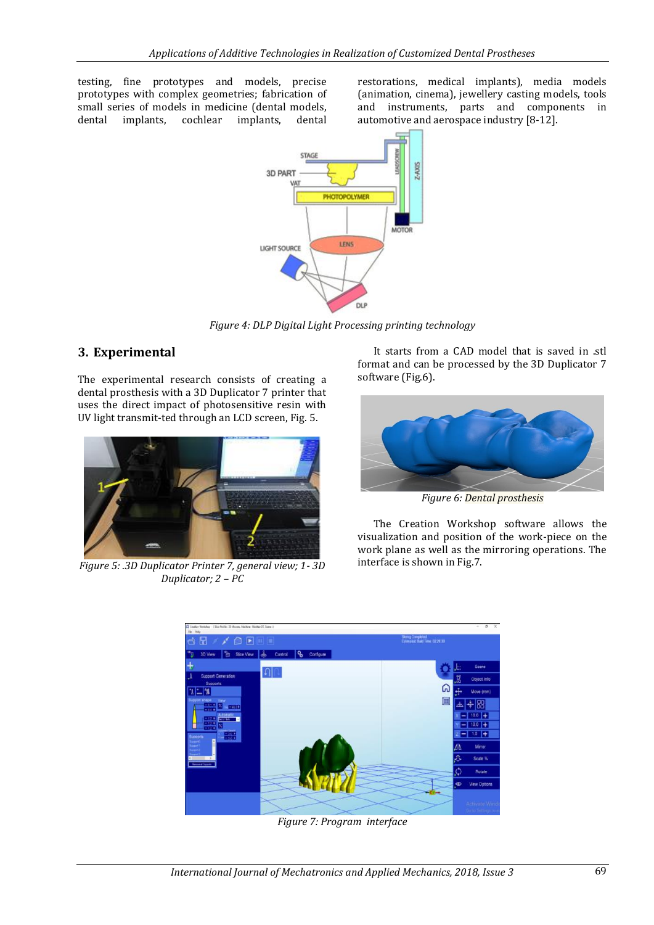testing, fine prototypes and models, precise prototypes with complex geometries; fabrication of small series of models in medicine (dental models, dental implants, cochlear implants, dental

restorations, medical implants), media models (animation, cinema), jewellery casting models, tools and instruments, parts and components in automotive and aerospace industry [8-12].



*Figure 4: DLP Digital Light Processing printing technology*

### **3. Experimental**

The experimental research consists of creating a dental prosthesis with a 3D Duplicator 7 printer that uses the direct impact of photosensitive resin with UV light transmit-ted through an LCD screen, Fig. 5.



*Figure 5: .3D Duplicator Printer 7, general view; 1- 3D Duplicator; 2 – PC*

It starts from a CAD model that is saved in .stl format and can be processed by the 3D Duplicator 7 software (Fig.6).



*Figure 6: Dental prosthesis*

The Creation Workshop software allows the visualization and position of the work-piece on the work plane as well as the mirroring operations. The interface is shown in Fig.7.



*Figure 7: Program interface*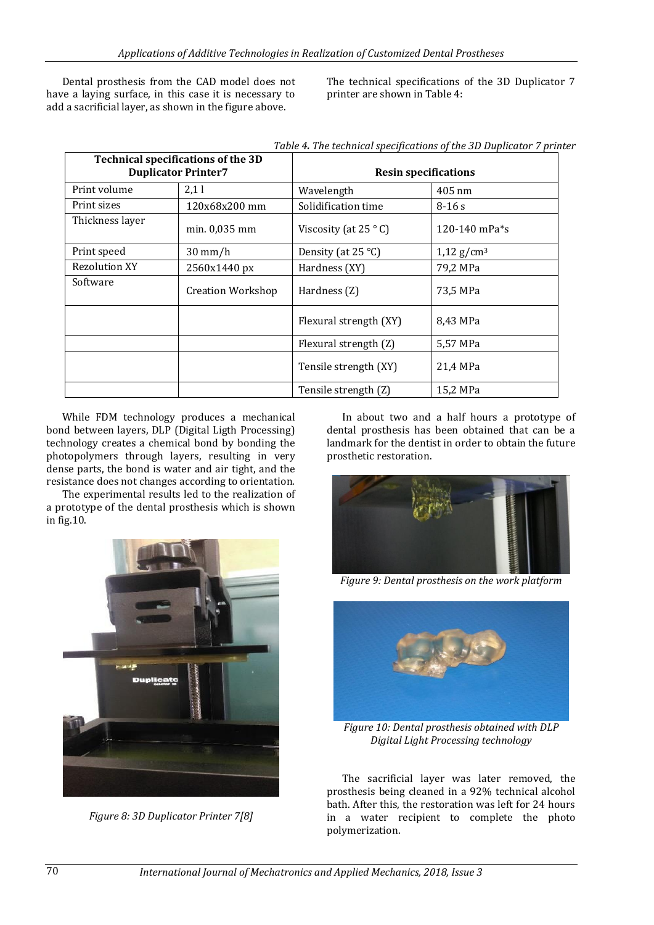Dental prosthesis from the CAD model does not have a laying surface, in this case it is necessary to add a sacrificial layer, as shown in the figure above.

The technical specifications of the 3D Duplicator 7 printer are shown in Table 4:

| <b>Technical specifications of the 3D</b><br><b>Duplicator Printer7</b> |                   | <b>Resin specifications</b>   |                       |  |
|-------------------------------------------------------------------------|-------------------|-------------------------------|-----------------------|--|
| Print volume                                                            | 2,11              | Wavelength                    | $405 \text{ nm}$      |  |
| Print sizes                                                             | 120x68x200 mm     | Solidification time           | $8-16s$               |  |
| Thickness layer                                                         | $min. 0.035$ mm   | Viscosity (at $25^{\circ}$ C) | 120-140 mPa $*_{S}$   |  |
| Print speed                                                             | $30 \text{ mm/h}$ | Density (at $25^{\circ}$ C)   | $1,12 \text{ g/cm}^3$ |  |
| <b>Rezolution XY</b>                                                    | 2560x1440 px      | Hardness (XY)                 | 79.2 MPa              |  |
| Software                                                                | Creation Workshop | Hardness (Z)                  | 73.5 MPa              |  |
|                                                                         |                   | Flexural strength (XY)        | 8.43 MPa              |  |
|                                                                         |                   | Flexural strength (Z)         | 5,57 MPa              |  |
|                                                                         |                   | Tensile strength (XY)         | 21,4 MPa              |  |
|                                                                         |                   | Tensile strength (Z)          | 15,2 MPa              |  |

*Table 4. The technical specifications of the 3D Duplicator 7 printer*

While FDM technology produces a mechanical bond between layers, DLP (Digital Ligth Processing) technology creates a chemical bond by bonding the photopolymers through layers, resulting in very dense parts, the bond is water and air tight, and the resistance does not changes according to orientation.

The experimental results led to the realization of a prototype of the dental prosthesis which is shown in fig.10.



*Figure 8: 3D Duplicator Printer 7[8]*

In about two and a half hours a prototype of dental prosthesis has been obtained that can be a landmark for the dentist in order to obtain the future prosthetic restoration.



*Figure 9: Dental prosthesis on the work platform*



*Figure 10: Dental prosthesis obtained with DLP Digital Light Processing technology*

The sacrificial layer was later removed, the prosthesis being cleaned in a 92% technical alcohol bath. After this, the restoration was left for 24 hours in a water recipient to complete the photo polymerization.